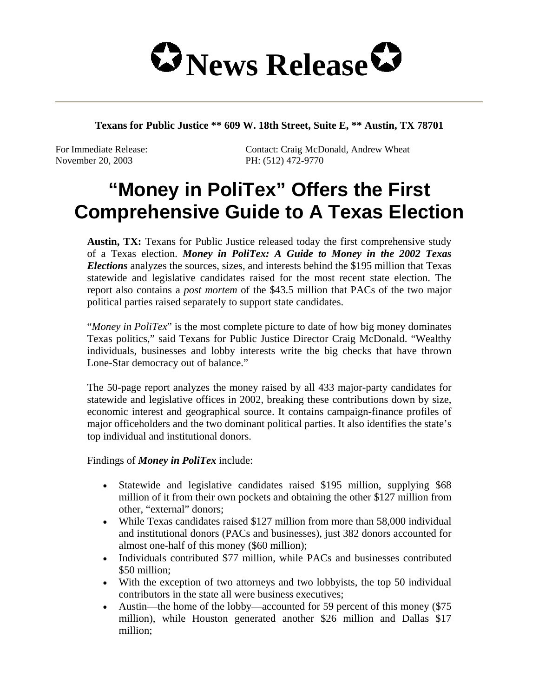

**Texans for Public Justice \*\* 609 W. 18th Street, Suite E, \*\* Austin, TX 78701** 

November 20, 2003 PH: (512) 472-9770

For Immediate Release: Contact: Craig McDonald, Andrew Wheat

## **"Money in PoliTex" Offers the First Comprehensive Guide to A Texas Election**

**Austin, TX:** Texans for Public Justice released today the first comprehensive study of a Texas election. *Money in PoliTex: A Guide to Money in the 2002 Texas Elections* analyzes the sources, sizes, and interests behind the \$195 million that Texas statewide and legislative candidates raised for the most recent state election. The report also contains a *post mortem* of the \$43.5 million that PACs of the two major political parties raised separately to support state candidates.

"*Money in PoliTex*" is the most complete picture to date of how big money dominates Texas politics," said Texans for Public Justice Director Craig McDonald. "Wealthy individuals, businesses and lobby interests write the big checks that have thrown Lone-Star democracy out of balance."

The 50-page report analyzes the money raised by all 433 major-party candidates for statewide and legislative offices in 2002, breaking these contributions down by size, economic interest and geographical source. It contains campaign-finance profiles of major officeholders and the two dominant political parties. It also identifies the state's top individual and institutional donors.

Findings of *Money in PoliTex* include:

- Statewide and legislative candidates raised \$195 million, supplying \$68 million of it from their own pockets and obtaining the other \$127 million from other, "external" donors;
- While Texas candidates raised \$127 million from more than 58,000 individual and institutional donors (PACs and businesses), just 382 donors accounted for almost one-half of this money (\$60 million);
- Individuals contributed \$77 million, while PACs and businesses contributed \$50 million;
- With the exception of two attorneys and two lobbyists, the top 50 individual contributors in the state all were business executives;
- Austin—the home of the lobby—accounted for 59 percent of this money (\$75) million), while Houston generated another \$26 million and Dallas \$17 million;